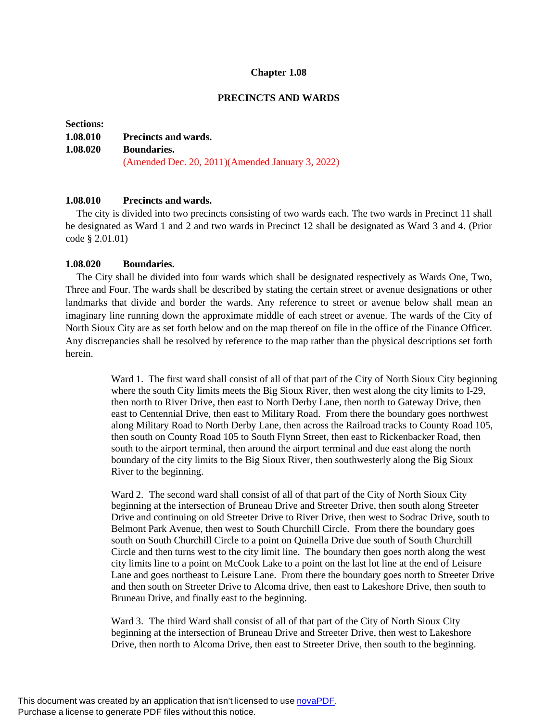### **Chapter 1.08**

### **PRECINCTS AND WARDS**

# **Sections: 1.08.010 Precincts and wards. 1.08.020 Boundaries.** (Amended Dec. 20, 2011)(Amended January 3, 2022)

## **1.08.010 Precincts and wards.**

The city is divided into two precincts consisting of two wards each. The two wards in Precinct 11 shall be designated as Ward 1 and 2 and two wards in Precinct 12 shall be designated as Ward 3 and 4. (Prior code § 2.01.01)

### **1.08.020 Boundaries.**

The City shall be divided into four wards which shall be designated respectively as Wards One, Two, Three and Four. The wards shall be described by stating the certain street or avenue designations or other landmarks that divide and border the wards. Any reference to street or avenue below shall mean an imaginary line running down the approximate middle of each street or avenue. The wards of the City of North Sioux City are as set forth below and on the map thereof on file in the office of the Finance Officer. Any discrepancies shall be resolved by reference to the map rather than the physical descriptions set forth herein.

> Ward 1. The first ward shall consist of all of that part of the City of North Sioux City beginning where the south City limits meets the Big Sioux River, then west along the city limits to I-29, then north to River Drive, then east to North Derby Lane, then north to Gateway Drive, then east to Centennial Drive, then east to Military Road. From there the boundary goes northwest along Military Road to North Derby Lane, then across the Railroad tracks to County Road 105, then south on County Road 105 to South Flynn Street, then east to Rickenbacker Road, then south to the airport terminal, then around the airport terminal and due east along the north boundary of the city limits to the Big Sioux River, then southwesterly along the Big Sioux River to the beginning.

> Ward 2. The second ward shall consist of all of that part of the City of North Sioux City beginning at the intersection of Bruneau Drive and Streeter Drive, then south along Streeter Drive and continuing on old Streeter Drive to River Drive, then west to Sodrac Drive, south to Belmont Park Avenue, then west to South Churchill Circle. From there the boundary goes south on South Churchill Circle to a point on Quinella Drive due south of South Churchill Circle and then turns west to the city limit line. The boundary then goes north along the west city limits line to a point on McCook Lake to a point on the last lot line at the end of Leisure Lane and goes northeast to Leisure Lane. From there the boundary goes north to Streeter Drive and then south on Streeter Drive to Alcoma drive, then east to Lakeshore Drive, then south to Bruneau Drive, and finally east to the beginning.

Ward 3. The third Ward shall consist of all of that part of the City of North Sioux City beginning at the intersection of Bruneau Drive and Streeter Drive, then west to Lakeshore Drive, then north to Alcoma Drive, then east to Streeter Drive, then south to the beginning.